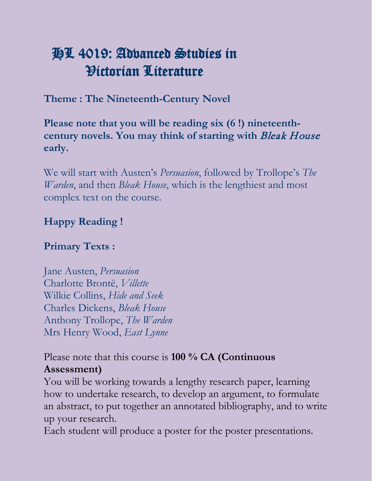# HL 4019: Advanced Studies in Victorian Literature

**Theme : The Nineteenth-Century Novel**

**Please note that you will be reading six (6 !) nineteenthcentury novels. You may think of starting with** Bleak House **early.** 

We will start with Austen's *Persuasion*, followed by Trollope's *The Warden*, and then *Bleak House*, which is the lengthiest and most complex text on the course.

#### **Happy Reading !**

#### **Primary Texts :**

Jane Austen, *Persuasion* Charlotte Brontë, *Villette* Wilkie Collins, *Hide and Seek* Charles Dickens, *Bleak House* Anthony Trollope, *The Warden* Mrs Henry Wood, *East Lynne*

#### Please note that this course is **100 % CA (Continuous Assessment)**

You will be working towards a lengthy research paper, learning how to undertake research, to develop an argument, to formulate an abstract, to put together an annotated bibliography, and to write up your research.

Each student will produce a poster for the poster presentations.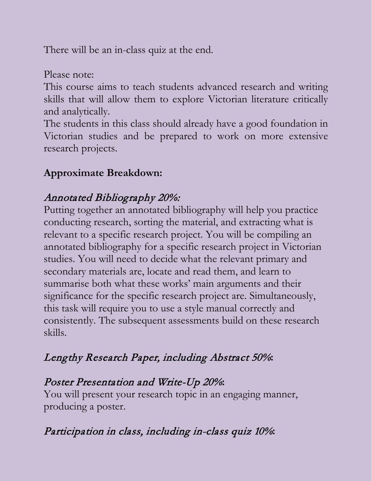There will be an in-class quiz at the end.

Please note:

This course aims to teach students advanced research and writing skills that will allow them to explore Victorian literature critically and analytically.

The students in this class should already have a good foundation in Victorian studies and be prepared to work on more extensive research projects.

#### **Approximate Breakdown:**

#### Annotated Bibliography 20%:

Putting together an annotated bibliography will help you practice conducting research, sorting the material, and extracting what is relevant to a specific research project. You will be compiling an annotated bibliography for a specific research project in Victorian studies. You will need to decide what the relevant primary and secondary materials are, locate and read them, and learn to summarise both what these works' main arguments and their significance for the specific research project are. Simultaneously, this task will require you to use a style manual correctly and consistently. The subsequent assessments build on these research skills.

## Lengthy Research Paper, including Abstract 50%**:**

### Poster Presentation and Write-Up 20%**:**

You will present your research topic in an engaging manner, producing a poster.

## Participation in class, including in-class quiz 10%**:**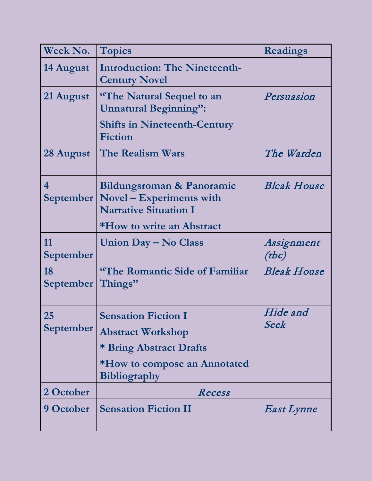| Week No.               | <b>Topics</b>                                                                                                                            | <b>Readings</b>     |
|------------------------|------------------------------------------------------------------------------------------------------------------------------------------|---------------------|
| 14 August              | <b>Introduction: The Nineteenth-</b><br><b>Century Novel</b>                                                                             |                     |
| 21 August              | <b>"The Natural Sequel to an</b><br><b>Unnatural Beginning":</b>                                                                         | Persuasion          |
|                        | <b>Shifts in Nineteenth-Century</b><br><b>Fiction</b>                                                                                    |                     |
| 28 August              | <b>The Realism Wars</b>                                                                                                                  | The Warden          |
| 4                      | Bildungsroman & Panoramic<br>September   Novel – Experiments with<br><b>Narrative Situation I</b>                                        | <b>Bleak House</b>  |
|                        | *How to write an Abstract                                                                                                                |                     |
| 11<br><b>September</b> | Union Day – No Class                                                                                                                     | Assignment<br>(tbc) |
| 18<br><b>September</b> | "The Romantic Side of Familiar<br>Things"                                                                                                | <b>Bleak House</b>  |
| 25<br>September        | <b>Sensation Fiction I</b><br><b>Abstract Workshop</b><br>* Bring Abstract Drafts<br>*How to compose an Annotated<br><b>Bibliography</b> | Hide and<br>Seek    |
| 2 October              | Recess                                                                                                                                   |                     |
| 9 October              | <b>Sensation Fiction II</b>                                                                                                              | East Lynne          |